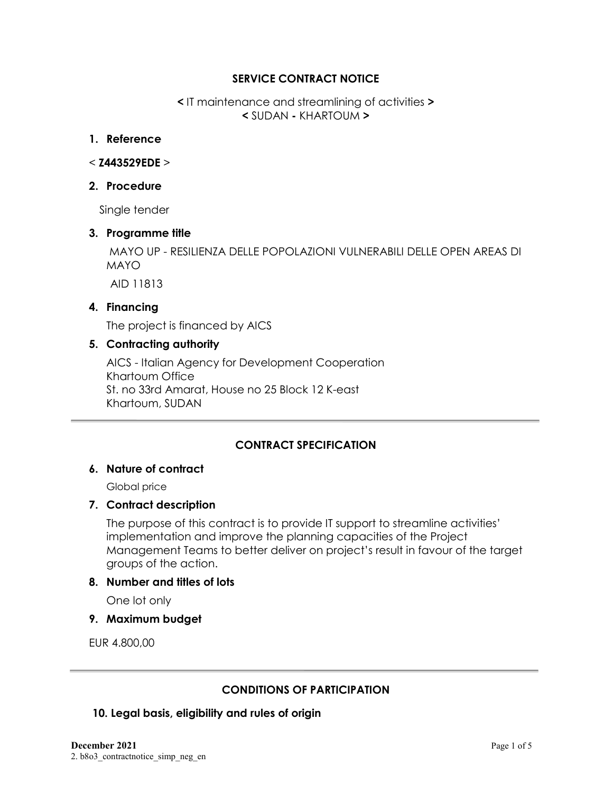#### **SERVICE CONTRACT NOTICE**

**<** IT maintenance and streamlining of activities **> <** SUDAN **-** KHARTOUM **>**

#### **1. Reference**

#### < **Z443529EDE** >

#### **2. Procedure**

Single tender

#### **3. Programme title**

MAYO UP - RESILIENZA DELLE POPOLAZIONI VULNERABILI DELLE OPEN AREAS DI MAYO

AID 11813

### **4. Financing**

The project is financed by AICS

#### **5. Contracting authority**

AICS - Italian Agency for Development Cooperation Khartoum Office St. no 33rd Amarat, House no 25 Block 12 K-east Khartoum, SUDAN

## **CONTRACT SPECIFICATION**

#### **6. Nature of contract**

Global price

#### **7. Contract description**

The purpose of this contract is to provide IT support to streamline activities' implementation and improve the planning capacities of the Project Management Teams to better deliver on project's result in favour of the target groups of the action.

#### **8. Number and titles of lots**

One lot only

**9. Maximum budget**

EUR 4.800,00

#### **CONDITIONS OF PARTICIPATION**

#### **10. Legal basis, eligibility and rules of origin**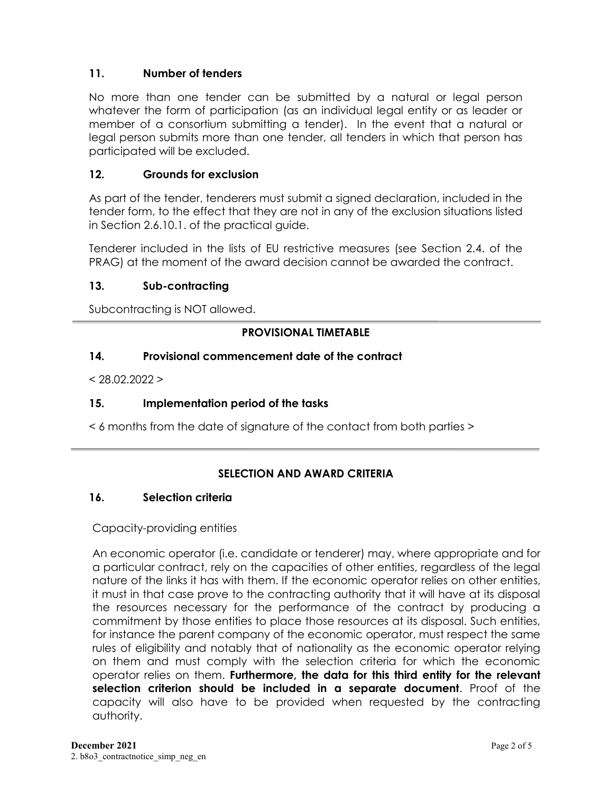## **11. Number of tenders**

No more than one tender can be submitted by a natural or legal person whatever the form of participation (as an individual legal entity or as leader or member of a consortium submitting a tender). In the event that a natural or legal person submits more than one tender, all tenders in which that person has participated will be excluded.

## **12. Grounds for exclusion**

As part of the tender, tenderers must submit a signed declaration, included in the tender form, to the effect that they are not in any of the exclusion situations listed in Section 2.6.10.1. of the practical guide.

Tenderer included in the lists of EU restrictive measures (see Section 2.4. of the PRAG) at the moment of the award decision cannot be awarded the contract.

#### **13. Sub-contracting**

Subcontracting is NOT allowed.

### **PROVISIONAL TIMETABLE**

#### **14. Provisional commencement date of the contract**

 $< 28.02.2022 >$ 

#### **15. Implementation period of the tasks**

< 6 months from the date of signature of the contact from both parties >

## **SELECTION AND AWARD CRITERIA**

#### **16. Selection criteria**

#### Capacity-providing entities

An economic operator (i.e. candidate or tenderer) may, where appropriate and for a particular contract, rely on the capacities of other entities, regardless of the legal nature of the links it has with them. If the economic operator relies on other entities, it must in that case prove to the contracting authority that it will have at its disposal the resources necessary for the performance of the contract by producing a commitment by those entities to place those resources at its disposal. Such entities, for instance the parent company of the economic operator, must respect the same rules of eligibility and notably that of nationality as the economic operator relying on them and must comply with the selection criteria for which the economic operator relies on them. **Furthermore, the data for this third entity for the relevant selection criterion should be included in a separate document**. Proof of the capacity will also have to be provided when requested by the contracting authority.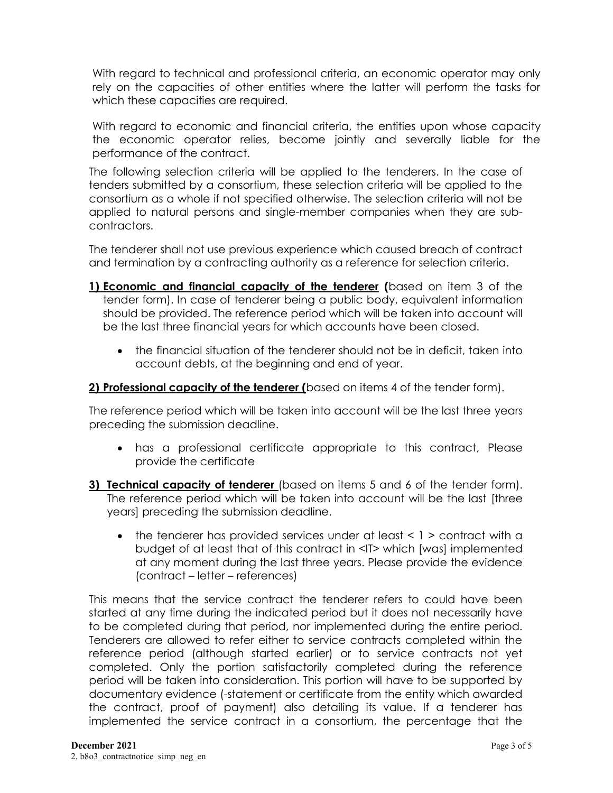With regard to technical and professional criteria, an economic operator may only rely on the capacities of other entities where the latter will perform the tasks for which these capacities are required.

With regard to economic and financial criteria, the entities upon whose capacity the economic operator relies, become jointly and severally liable for the performance of the contract.

The following selection criteria will be applied to the tenderers. In the case of tenders submitted by a consortium, these selection criteria will be applied to the consortium as a whole if not specified otherwise. The selection criteria will not be applied to natural persons and single-member companies when they are subcontractors.

The tenderer shall not use previous experience which caused breach of contract and termination by a contracting authority as a reference for selection criteria.

- **1) Economic and financial capacity of the tenderer (**based on item 3 of the tender form). In case of tenderer being a public body, equivalent information should be provided. The reference period which will be taken into account will be the last three financial years for which accounts have been closed.
	- the financial situation of the tenderer should not be in deficit, taken into account debts, at the beginning and end of year.

### **2) Professional capacity of the tenderer (**based on items 4 of the tender form).

The reference period which will be taken into account will be the last three years preceding the submission deadline.

- has a professional certificate appropriate to this contract, Please provide the certificate
- **3) Technical capacity of tenderer** (based on items 5 and 6 of the tender form). The reference period which will be taken into account will be the last [three years] preceding the submission deadline.
	- the tenderer has provided services under at least  $\leq 1$  > contract with a budget of at least that of this contract in <IT> which [was] implemented at any moment during the last three years. Please provide the evidence (contract – letter – references)

This means that the service contract the tenderer refers to could have been started at any time during the indicated period but it does not necessarily have to be completed during that period, nor implemented during the entire period. Tenderers are allowed to refer either to service contracts completed within the reference period (although started earlier) or to service contracts not yet completed. Only the portion satisfactorily completed during the reference period will be taken into consideration. This portion will have to be supported by documentary evidence (-statement or certificate from the entity which awarded the contract, proof of payment) also detailing its value. If a tenderer has implemented the service contract in a consortium, the percentage that the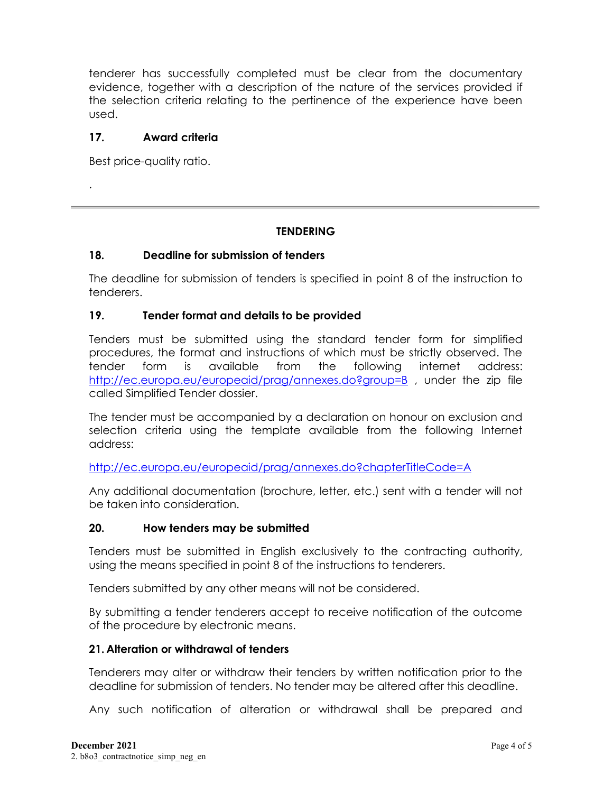tenderer has successfully completed must be clear from the documentary evidence, together with a description of the nature of the services provided if the selection criteria relating to the pertinence of the experience have been used.

#### **17. Award criteria**

Best price-quality ratio.

.

### **TENDERING**

### **18. Deadline for submission of tenders**

The deadline for submission of tenders is specified in point 8 of the instruction to tenderers.

### **19. Tender format and details to be provided**

Tenders must be submitted using the standard tender form for simplified procedures, the format and instructions of which must be strictly observed. The tender form is available from the following internet address: <http://ec.europa.eu/europeaid/prag/annexes.do?group=B> , under the zip file called Simplified Tender dossier.

The tender must be accompanied by a declaration on honour on exclusion and selection criteria using the template available from the following Internet address:

<http://ec.europa.eu/europeaid/prag/annexes.do?chapterTitleCode=A>

Any additional documentation (brochure, letter, etc.) sent with a tender will not be taken into consideration.

#### **20. How tenders may be submitted**

Tenders must be submitted in English exclusively to the contracting authority, using the means specified in point 8 of the instructions to tenderers.

Tenders submitted by any other means will not be considered.

By submitting a tender tenderers accept to receive notification of the outcome of the procedure by electronic means.

#### **21. Alteration or withdrawal of tenders**

Tenderers may alter or withdraw their tenders by written notification prior to the deadline for submission of tenders. No tender may be altered after this deadline.

Any such notification of alteration or withdrawal shall be prepared and